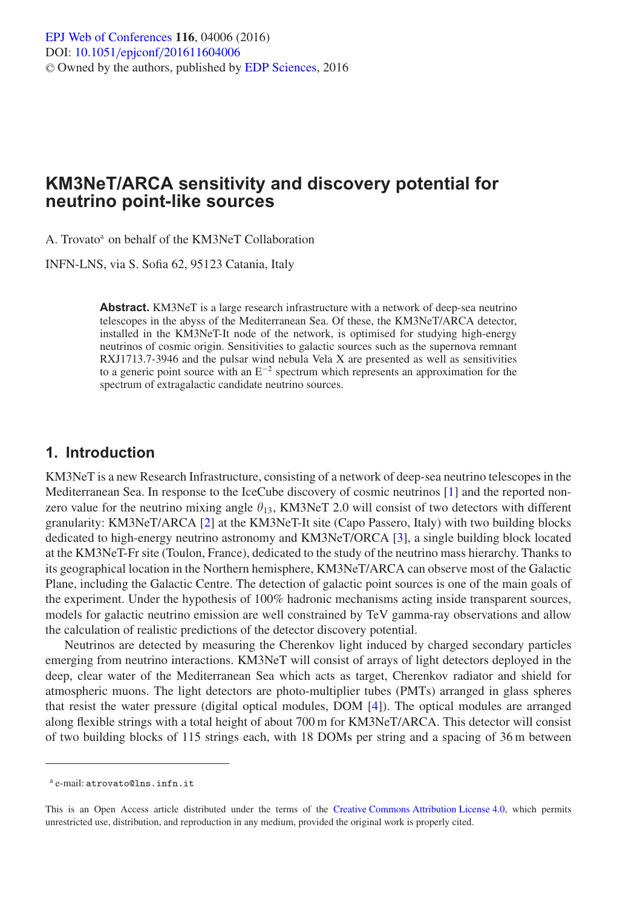# **KM3NeT/ARCA sensitivity and discovery potential for neutrino point-like sources**

A. Trovato<sup>a</sup> on behalf of the KM3NeT Collaboration

INFN-LNS, via S. Sofia 62, 95123 Catania, Italy

**Abstract.** KM3NeT is a large research infrastructure with a network of deep-sea neutrino telescopes in the abyss of the Mediterranean Sea. Of these, the KM3NeT/ARCA detector, installed in the KM3NeT-It node of the network, is optimised for studying high-energy neutrinos of cosmic origin. Sensitivities to galactic sources such as the supernova remnant RXJ1713.7-3946 and the pulsar wind nebula Vela X are presented as well as sensitivities to a generic point source with an  $E^{-2}$  spectrum which represents an approximation for the spectrum of extragalactic candidate neutrino sources.

#### **1. Introduction**

KM3NeT is a new Research Infrastructure, consisting of a network of deep-sea neutrino telescopes in the Mediterranean Sea. In response to the IceCube discovery of cosmic neutrinos [\[1](#page-3-0)] and the reported nonzero value for the neutrino mixing angle  $\theta_{13}$ , KM3NeT 2.0 will consist of two detectors with different granularity: KM3NeT/ARCA [\[2\]](#page-3-1) at the KM3NeT-It site (Capo Passero, Italy) with two building blocks dedicated to high-energy neutrino astronomy and KM3NeT/ORCA [\[3](#page-3-2)], a single building block located at the KM3NeT-Fr site (Toulon, France), dedicated to the study of the neutrino mass hierarchy. Thanks to its geographical location in the Northern hemisphere, KM3NeT/ARCA can observe most of the Galactic Plane, including the Galactic Centre. The detection of galactic point sources is one of the main goals of the experiment. Under the hypothesis of 100% hadronic mechanisms acting inside transparent sources, models for galactic neutrino emission are well constrained by TeV gamma-ray observations and allow the calculation of realistic predictions of the detector discovery potential.

Neutrinos are detected by measuring the Cherenkov light induced by charged secondary particles emerging from neutrino interactions. KM3NeT will consist of arrays of light detectors deployed in the deep, clear water of the Mediterranean Sea which acts as target, Cherenkov radiator and shield for atmospheric muons. The light detectors are photo-multiplier tubes (PMTs) arranged in glass spheres that resist the water pressure (digital optical modules, DOM [\[4\]](#page-3-3)). The optical modules are arranged along flexible strings with a total height of about 700 m for KM3NeT/ARCA. This detector will consist of two building blocks of 115 strings each, with 18 DOMs per string and a spacing of 36 m between

<sup>a</sup> e-mail: atrovato@lns.infn.it

This is an Open Access article distributed under the terms of the [Creative Commons Attribution License 4.0,](http://creativecommons.org/licenses/by/4.0/) which permits unrestricted use, distribution, and reproduction in any medium, provided the original work is properly cited.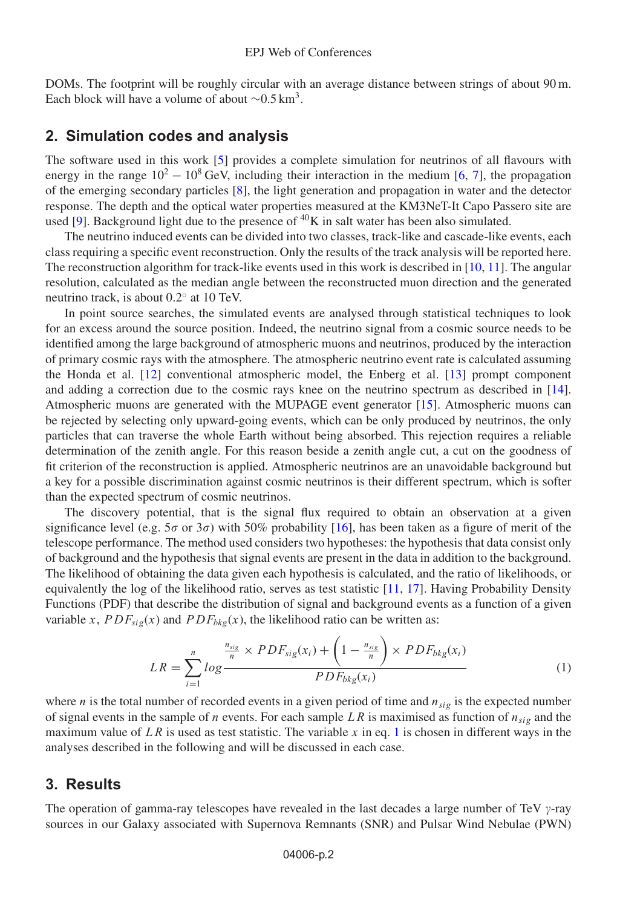DOMs. The footprint will be roughly circular with an average distance between strings of about 90 m. Each block will have a volume of about  $\sim 0.5 \text{ km}^3$ .

## **2. Simulation codes and analysis**

The software used in this work [\[5](#page-3-4)] provides a complete simulation for neutrinos of all flavours with energy in the range  $10^2 - 10^8$  GeV, including their interaction in the medium [\[6](#page-3-5), [7](#page-3-6)], the propagation of the emerging secondary particles [\[8\]](#page-3-7), the light generation and propagation in water and the detector response. The depth and the optical water properties measured at the KM3NeT-It Capo Passero site are used [\[9\]](#page-3-8). Background light due to the presence of  ${}^{40}$ K in salt water has been also simulated.

The neutrino induced events can be divided into two classes, track-like and cascade-like events, each class requiring a specific event reconstruction. Only the results of the track analysis will be reported here. The reconstruction algorithm for track-like events used in this work is described in [\[10](#page-3-9), [11\]](#page-3-10). The angular resolution, calculated as the median angle between the reconstructed muon direction and the generated neutrino track, is about 0.2◦ at 10 TeV.

In point source searches, the simulated events are analysed through statistical techniques to look for an excess around the source position. Indeed, the neutrino signal from a cosmic source needs to be identified among the large background of atmospheric muons and neutrinos, produced by the interaction of primary cosmic rays with the atmosphere. The atmospheric neutrino event rate is calculated assuming the Honda et al. [\[12\]](#page-3-11) conventional atmospheric model, the Enberg et al. [\[13\]](#page-3-12) prompt component and adding a correction due to the cosmic rays knee on the neutrino spectrum as described in [\[14\]](#page-3-13). Atmospheric muons are generated with the MUPAGE event generator [\[15](#page-3-14)]. Atmospheric muons can be rejected by selecting only upward-going events, which can be only produced by neutrinos, the only particles that can traverse the whole Earth without being absorbed. This rejection requires a reliable determination of the zenith angle. For this reason beside a zenith angle cut, a cut on the goodness of fit criterion of the reconstruction is applied. Atmospheric neutrinos are an unavoidable background but a key for a possible discrimination against cosmic neutrinos is their different spectrum, which is softer than the expected spectrum of cosmic neutrinos.

The discovery potential, that is the signal flux required to obtain an observation at a given significance level (e.g.  $5\sigma$  or  $3\sigma$ ) with  $50\%$  probability [\[16](#page-3-15)], has been taken as a figure of merit of the telescope performance. The method used considers two hypotheses: the hypothesis that data consist only of background and the hypothesis that signal events are present in the data in addition to the background. The likelihood of obtaining the data given each hypothesis is calculated, and the ratio of likelihoods, or equivalently the log of the likelihood ratio, serves as test statistic [\[11,](#page-3-10) [17\]](#page-3-16). Having Probability Density Functions (PDF) that describe the distribution of signal and background events as a function of a given variable x,  $PDF_{\text{sig}}(x)$  and  $PDF_{\text{bkg}}(x)$ , the likelihood ratio can be written as:

$$
LR = \sum_{i=1}^{n} log \frac{\frac{n_{sig}}{n} \times PDF_{sig}(x_i) + \left(1 - \frac{n_{sig}}{n}\right) \times PDF_{bkg}(x_i)}{PDF_{bkg}(x_i)}
$$
(1)

<span id="page-1-0"></span>where *n* is the total number of recorded events in a given period of time and  $n_{sio}$  is the expected number of signal events in the sample of n events. For each sample LR is maximised as function of  $n_{sig}$  and the maximum value of LR is used as test statistic. The variable x in eq. [1](#page-1-0) is chosen in different ways in the analyses described in the following and will be discussed in each case.

#### **3. Results**

The operation of gamma-ray telescopes have revealed in the last decades a large number of TeV  $\gamma$ -ray sources in our Galaxy associated with Supernova Remnants (SNR) and Pulsar Wind Nebulae (PWN)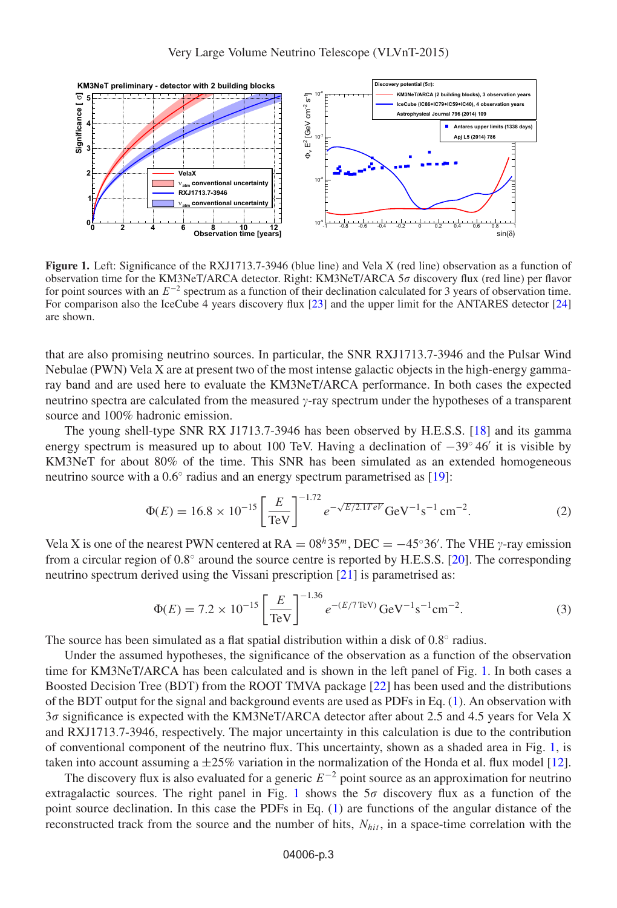<span id="page-2-0"></span>

**Figure 1.** Left: Significance of the RXJ1713.7-3946 (blue line) and Vela X (red line) observation as a function of observation time for the KM3NeT/ARCA detector. Right: KM3NeT/ARCA 5 $\sigma$  discovery flux (red line) per flavor for point sources with an  $E^{-2}$  spectrum as a function of their declination calculated for 3 years of observation time. For comparison also the IceCube 4 years discovery flux [\[23\]](#page-3-17) and the upper limit for the ANTARES detector [\[24\]](#page-3-18) are shown.

that are also promising neutrino sources. In particular, the SNR RXJ1713.7-3946 and the Pulsar Wind Nebulae (PWN) Vela X are at present two of the most intense galactic objects in the high-energy gammaray band and are used here to evaluate the KM3NeT/ARCA performance. In both cases the expected neutrino spectra are calculated from the measured  $\gamma$ -ray spectrum under the hypotheses of a transparent source and 100% hadronic emission.

The young shell-type SNR RX J1713.7-3946 has been observed by H.E.S.S. [\[18](#page-3-19)] and its gamma energy spectrum is measured up to about 100 TeV. Having a declination of  $-39°46'$  it is visible by KM3NeT for about 80% of the time. This SNR has been simulated as an extended homogeneous neutrino source with a  $0.6°$  radius and an energy spectrum parametrised as [\[19\]](#page-3-20):

$$
\Phi(E) = 16.8 \times 10^{-15} \left[ \frac{E}{\text{TeV}} \right]^{-1.72} e^{-\sqrt{E/2.1TeV}} \text{GeV}^{-1} \text{s}^{-1} \text{cm}^{-2}.
$$
 (2)

Vela X is one of the nearest PWN centered at  $RA = 08<sup>h</sup>35<sup>m</sup>$ , DEC =  $-45°36'$ . The VHE  $\gamma$ -ray emission from a circular region of  $0.8^\circ$  around the source centre is reported by H.E.S.S. [\[20](#page-3-21)]. The corresponding neutrino spectrum derived using the Vissani prescription [\[21](#page-3-22)] is parametrised as:

$$
\Phi(E) = 7.2 \times 10^{-15} \left[ \frac{E}{\text{TeV}} \right]^{-1.36} e^{-(E/T \text{TeV})} \text{GeV}^{-1} \text{s}^{-1} \text{cm}^{-2}.
$$
 (3)

The source has been simulated as a flat spatial distribution within a disk of 0.8◦ radius.

Under the assumed hypotheses, the significance of the observation as a function of the observation time for KM3NeT/ARCA has been calculated and is shown in the left panel of Fig. [1.](#page-2-0) In both cases a Boosted Decision Tree (BDT) from the ROOT TMVA package [\[22\]](#page-3-23) has been used and the distributions of the BDT output for the signal and background events are used as PDFs in Eq. [\(1\)](#page-1-0). An observation with 3 $\sigma$  significance is expected with the KM3NeT/ARCA detector after about 2.5 and 4.5 years for Vela X and RXJ1713.7-3946, respectively. The major uncertainty in this calculation is due to the contribution of conventional component of the neutrino flux. This uncertainty, shown as a shaded area in Fig. [1,](#page-2-0) is taken into account assuming a  $\pm 25\%$  variation in the normalization of the Honda et al. flux model [\[12\]](#page-3-11).

The discovery flux is also evaluated for a generic  $E^{-2}$  point source as an approximation for neutrino extragalactic sources. The right panel in Fig. [1](#page-2-0) shows the  $5\sigma$  discovery flux as a function of the point source declination. In this case the PDFs in Eq. [\(1\)](#page-1-0) are functions of the angular distance of the reconstructed track from the source and the number of hits,  $N_{hit}$ , in a space-time correlation with the